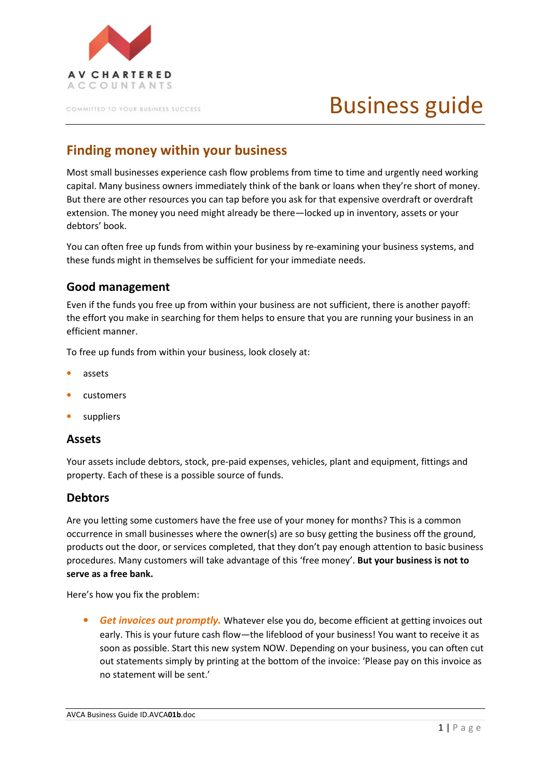

COMMITTED TO YOUR BUSINESS SUCCESS

# Business guide

# **Finding money within your business**

Most small businesses experience cash flow problems from time to time and urgently need working capital. Many business owners immediately think of the bank or loans when they're short of money. But there are other resources you can tap before you ask for that expensive overdraft or overdraft extension. The money you need might already be there—locked up in inventory, assets or your debtors' book.

You can often free up funds from within your business by re-examining your business systems, and these funds might in themselves be sufficient for your immediate needs.

# **Good management**

Even if the funds you free up from within your business are not sufficient, there is another payoff: the effort you make in searching for them helps to ensure that you are running your business in an efficient manner.

To free up funds from within your business, look closely at:

- assets
- customers
- **suppliers**

#### **Assets**

Your assets include debtors, stock, pre-paid expenses, vehicles, plant and equipment, fittings and property. Each of these is a possible source of funds.

#### **Debtors**

Are you letting some customers have the free use of your money for months? This is a common occurrence in small businesses where the owner(s) are so busy getting the business off the ground, products out the door, or services completed, that they don't pay enough attention to basic business procedures. Many customers will take advantage of this 'free money'. **But your business is not to serve as a free bank.**

Here's how you fix the problem:

• *Get invoices out promptly.* Whatever else you do, become efficient at getting invoices out early. This is your future cash flow—the lifeblood of your business! You want to receive it as soon as possible. Start this new system NOW. Depending on your business, you can often cut out statements simply by printing at the bottom of the invoice: 'Please pay on this invoice as no statement will be sent.'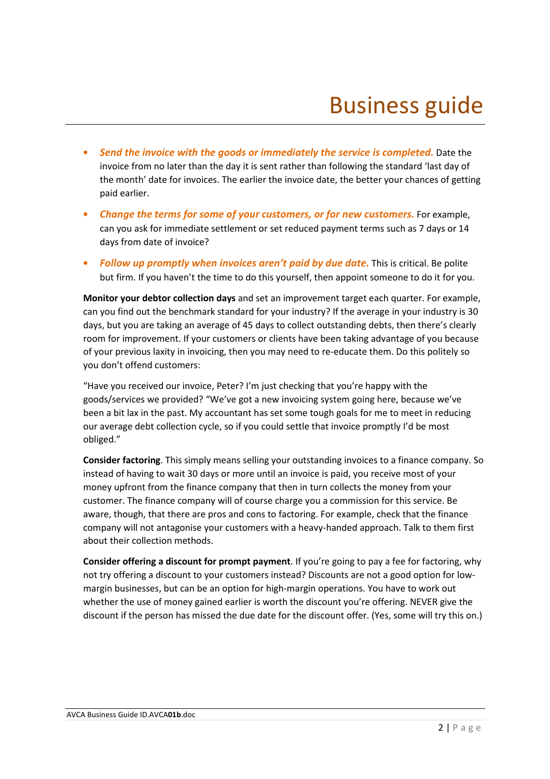- *Send the invoice with the goods or immediately the service is completed.* Date the invoice from no later than the day it is sent rather than following the standard 'last day of the month' date for invoices. The earlier the invoice date, the better your chances of getting paid earlier.
- *Change the terms for some of your customers, or for new customers.* For example, can you ask for immediate settlement or set reduced payment terms such as 7 days or 14 days from date of invoice?
- *Follow up promptly when invoices aren't paid by due date.* This is critical. Be polite but firm. If you haven't the time to do this yourself, then appoint someone to do it for you.

**Monitor your debtor collection days** and set an improvement target each quarter. For example, can you find out the benchmark standard for your industry? If the average in your industry is 30 days, but you are taking an average of 45 days to collect outstanding debts, then there's clearly room for improvement. If your customers or clients have been taking advantage of you because of your previous laxity in invoicing, then you may need to re-educate them. Do this politely so you don't offend customers:

"Have you received our invoice, Peter? I'm just checking that you're happy with the goods/services we provided? "We've got a new invoicing system going here, because we've been a bit lax in the past. My accountant has set some tough goals for me to meet in reducing our average debt collection cycle, so if you could settle that invoice promptly I'd be most obliged."

**Consider factoring**. This simply means selling your outstanding invoices to a finance company. So instead of having to wait 30 days or more until an invoice is paid, you receive most of your money upfront from the finance company that then in turn collects the money from your customer. The finance company will of course charge you a commission for this service. Be aware, though, that there are pros and cons to factoring. For example, check that the finance company will not antagonise your customers with a heavy-handed approach. Talk to them first about their collection methods.

**Consider offering a discount for prompt payment**. If you're going to pay a fee for factoring, why not try offering a discount to your customers instead? Discounts are not a good option for lowmargin businesses, but can be an option for high-margin operations. You have to work out whether the use of money gained earlier is worth the discount you're offering. NEVER give the discount if the person has missed the due date for the discount offer. (Yes, some will try this on.)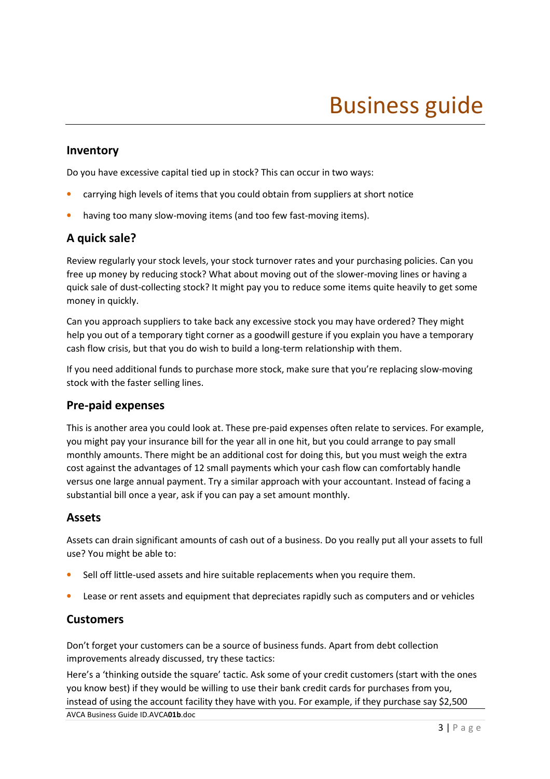### **Inventory**

Do you have excessive capital tied up in stock? This can occur in two ways:

- carrying high levels of items that you could obtain from suppliers at short notice
- having too many slow-moving items (and too few fast-moving items).

# **A quick sale?**

Review regularly your stock levels, your stock turnover rates and your purchasing policies. Can you free up money by reducing stock? What about moving out of the slower-moving lines or having a quick sale of dust-collecting stock? It might pay you to reduce some items quite heavily to get some money in quickly.

Can you approach suppliers to take back any excessive stock you may have ordered? They might help you out of a temporary tight corner as a goodwill gesture if you explain you have a temporary cash flow crisis, but that you do wish to build a long-term relationship with them.

If you need additional funds to purchase more stock, make sure that you're replacing slow-moving stock with the faster selling lines.

#### **Pre-paid expenses**

This is another area you could look at. These pre-paid expenses often relate to services. For example, you might pay your insurance bill for the year all in one hit, but you could arrange to pay small monthly amounts. There might be an additional cost for doing this, but you must weigh the extra cost against the advantages of 12 small payments which your cash flow can comfortably handle versus one large annual payment. Try a similar approach with your accountant. Instead of facing a substantial bill once a year, ask if you can pay a set amount monthly.

#### **Assets**

Assets can drain significant amounts of cash out of a business. Do you really put all your assets to full use? You might be able to:

- Sell off little-used assets and hire suitable replacements when you require them.
- Lease or rent assets and equipment that depreciates rapidly such as computers and or vehicles

#### **Customers**

Don't forget your customers can be a source of business funds. Apart from debt collection improvements already discussed, try these tactics:

AVCA Business Guide ID.AVCA**01b**.doc Here's a 'thinking outside the square' tactic. Ask some of your credit customers (start with the ones you know best) if they would be willing to use their bank credit cards for purchases from you, instead of using the account facility they have with you. For example, if they purchase say \$2,500